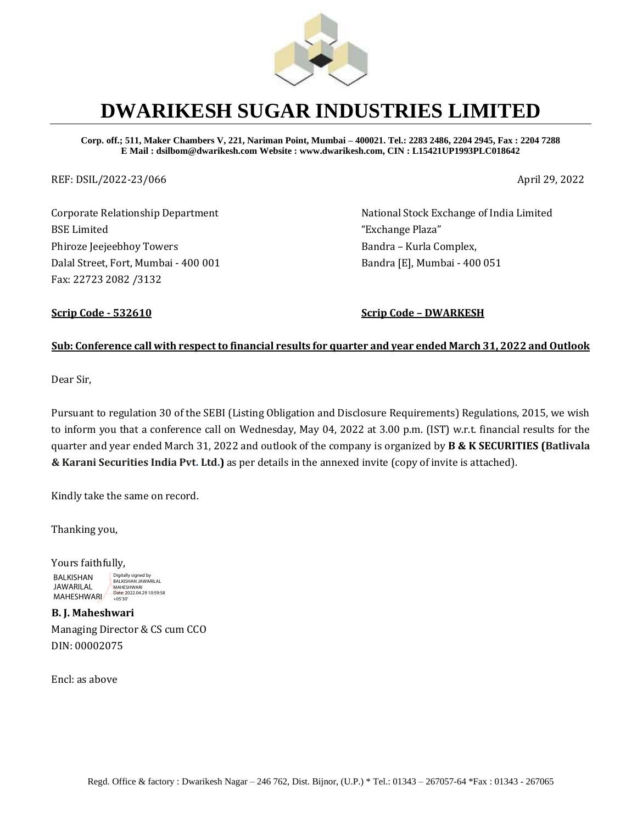

# **DWARIKESH SUGAR INDUSTRIES LIMITED**

**Corp. off.; 511, Maker Chambers V, 221, Nariman Point, Mumbai – 400021. Tel.: 2283 2486, 2204 2945, Fax : 2204 7288 E Mail : dsilbom@dwarikesh.com Website : www.dwarikesh.com, CIN : L15421UP1993PLC018642**

REF: DSIL/2022-23/066 April 29, 2022

Corporate Relationship Department BSE Limited Phiroze Jeejeebhoy Towers Dalal Street, Fort, Mumbai - 400 001 Fax: 22723 2082 /3132

National Stock Exchange of India Limited "Exchange Plaza" Bandra – Kurla Complex, Bandra [E], Mumbai - 400 051

**Scrip Code - 532610 Scrip Code – DWARKESH**

## **Sub: Conference call with respect to financial results for quarter and year ended March 31, 2022 and Outlook**

Dear Sir,

Pursuant to regulation 30 of the SEBI (Listing Obligation and Disclosure Requirements) Regulations, 2015, we wish to inform you that a conference call on Wednesday, May 04, 2022 at 3.00 p.m. (IST) w.r.t. financial results for the quarter and year ended March 31, 2022 and outlook of the company is organized by **B & K SECURITIES (Batlivala & Karani Securities India Pvt. Ltd.)** as per details in the annexed invite (copy of invite is attached).

Kindly take the same on record.

Thanking you,

Yours faithfully, BALKISHAN JAWARILAL JAWARILAL MAHESHWARI<br>MAHESHWARI 195'30' Digitally signed by BALKISHAN JAWARILAL

**B. J. Maheshwari**  Managing Director & CS cum CCO DIN: 00002075

Encl: as above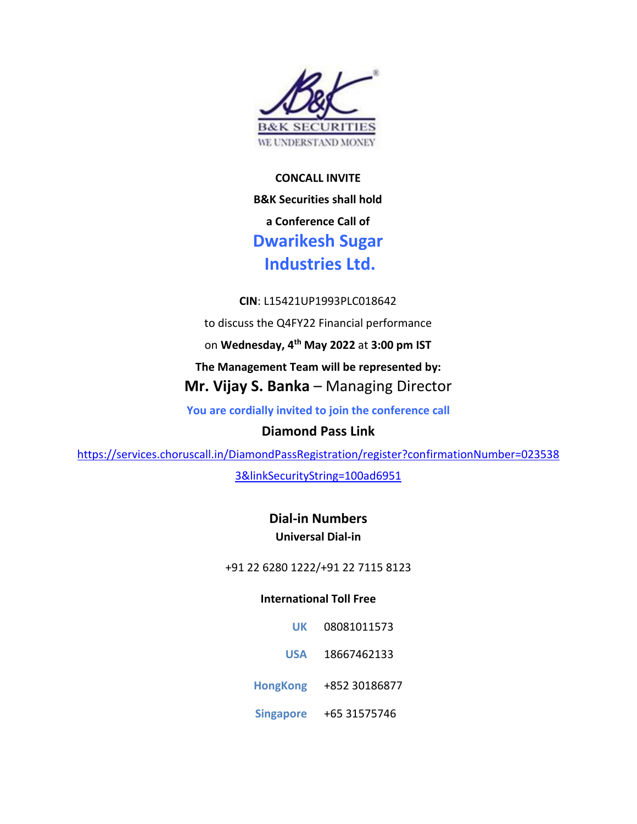

**CONCALL INVITE B&K Securities shall hold a Conference Call of Dwarikesh Sugar Industries Ltd.**

**CIN**: L15421UP1993PLC018642

to discuss the Q4FY22 Financial performance

on **Wednesday, 4 th May 2022** at **3:00 pm IST**

**The Management Team will be represented by:**

**Mr. Vijay S. Banka** – Managing Director

**You are cordially invited to join the conference call**

# **Diamond Pass Link**

[https://services.choruscall.in/DiamondPassRegistration/register?confirmationNumber=023538](https://nam10.safelinks.protection.outlook.com/?url=https%3A%2F%2Fservices.choruscall.in%2FDiamondPassRegistration%2Fregister%3FconfirmationNumber%3D0235383%26linkSecurityString%3D100ad6951&data=05%7C01%7Cindia%40choruscall.com%7Cf305dced36354e740c5808da28d98eb1%7Cb33d8fee5ac94ed69e4d5ad041ecfd21%7C0%7C0%7C637867212266662698%7CUnknown%7CTWFpbGZsb3d8eyJWIjoiMC4wLjAwMDAiLCJQIjoiV2luMzIiLCJBTiI6Ik1haWwiLCJXVCI6Mn0%3D%7C3000%7C%7C%7C&sdata=DDYMU5SjjQ3tvW5cDHMc0yN879aQ7zSghhC746QwTv8%3D&reserved=0)

[3&linkSecurityString=100ad6951](https://nam10.safelinks.protection.outlook.com/?url=https%3A%2F%2Fservices.choruscall.in%2FDiamondPassRegistration%2Fregister%3FconfirmationNumber%3D0235383%26linkSecurityString%3D100ad6951&data=05%7C01%7Cindia%40choruscall.com%7Cf305dced36354e740c5808da28d98eb1%7Cb33d8fee5ac94ed69e4d5ad041ecfd21%7C0%7C0%7C637867212266662698%7CUnknown%7CTWFpbGZsb3d8eyJWIjoiMC4wLjAwMDAiLCJQIjoiV2luMzIiLCJBTiI6Ik1haWwiLCJXVCI6Mn0%3D%7C3000%7C%7C%7C&sdata=DDYMU5SjjQ3tvW5cDHMc0yN879aQ7zSghhC746QwTv8%3D&reserved=0)

**Dial-in Numbers Universal Dial-in**

+91 22 6280 1222/+91 22 7115 8123

# **International Toll Free**

**UK** 08081011573 **USA** 18667462133 **HongKong** +852 30186877

**Singapore** +65 31575746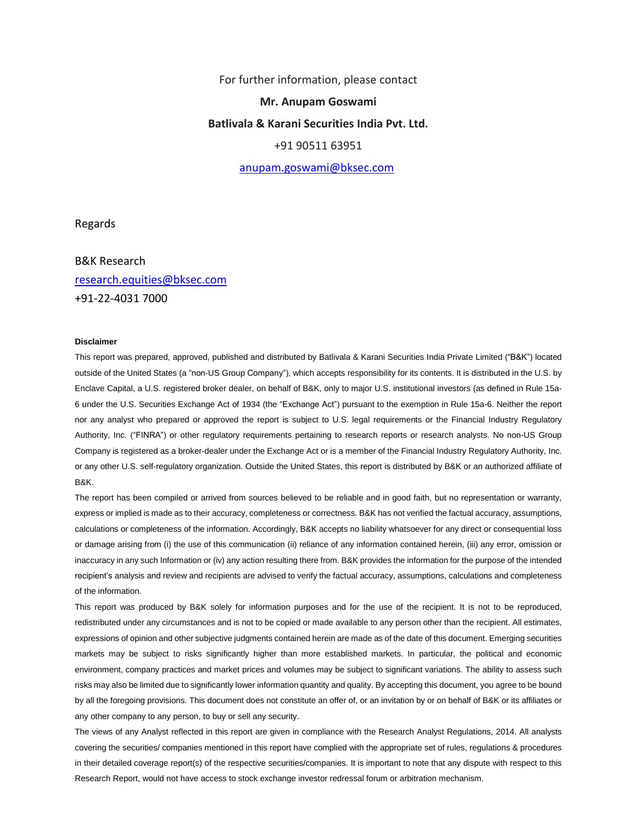For further information, please contact

#### **Mr. Anupam Goswami**

#### **Batlivala & Karani Securities India Pvt. Ltd.**

### +91 90511 63951

[anupam.goswami@bksec.com](mailto:anupam.goswami@bksec.com)

Regards

B&K Research [research.equities@bksec.com](mailto:research.equities@bksec.com) +91-22-4031 7000

#### **Disclaimer**

This report was prepared, approved, published and distributed by Batlivala & Karani Securities India Private Limited ("B&K") located outside of the United States (a "non-US Group Company"), which accepts responsibility for its contents. It is distributed in the U.S. by Enclave Capital, a U.S. registered broker dealer, on behalf of B&K, only to major U.S. institutional investors (as defined in Rule 15a-6 under the U.S. Securities Exchange Act of 1934 (the "Exchange Act") pursuant to the exemption in Rule 15a-6. Neither the report nor any analyst who prepared or approved the report is subject to U.S. legal requirements or the Financial Industry Regulatory Authority, Inc. ("FINRA") or other regulatory requirements pertaining to research reports or research analysts. No non-US Group Company is registered as a broker-dealer under the Exchange Act or is a member of the Financial Industry Regulatory Authority, Inc. or any other U.S. self-regulatory organization. Outside the United States, this report is distributed by B&K or an authorized affiliate of B&K.

The report has been compiled or arrived from sources believed to be reliable and in good faith, but no representation or warranty, express or implied is made as to their accuracy, completeness or correctness. B&K has not verified the factual accuracy, assumptions, calculations or completeness of the information. Accordingly, B&K accepts no liability whatsoever for any direct or consequential loss or damage arising from (i) the use of this communication (ii) reliance of any information contained herein, (iii) any error, omission or inaccuracy in any such Information or (iv) any action resulting there from. B&K provides the information for the purpose of the intended recipient's analysis and review and recipients are advised to verify the factual accuracy, assumptions, calculations and completeness of the information.

This report was produced by B&K solely for information purposes and for the use of the recipient. It is not to be reproduced, redistributed under any circumstances and is not to be copied or made available to any person other than the recipient. All estimates, expressions of opinion and other subjective judgments contained herein are made as of the date of this document. Emerging securities markets may be subject to risks significantly higher than more established markets. In particular, the political and economic environment, company practices and market prices and volumes may be subject to significant variations. The ability to assess such risks may also be limited due to significantly lower information quantity and quality. By accepting this document, you agree to be bound by all the foregoing provisions. This document does not constitute an offer of, or an invitation by or on behalf of B&K or its affiliates or any other company to any person, to buy or sell any security.

The views of any Analyst reflected in this report are given in compliance with the Research Analyst Regulations, 2014. All analysts covering the securities/ companies mentioned in this report have complied with the appropriate set of rules, regulations & procedures in their detailed coverage report(s) of the respective securities/companies. It is important to note that any dispute with respect to this Research Report, would not have access to stock exchange investor redressal forum or arbitration mechanism.